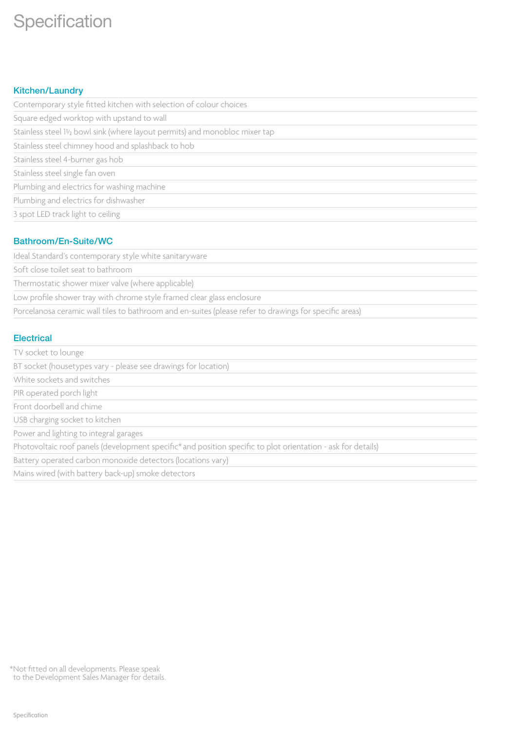# **Specification**

### Kitchen/Laundry

| Contemporary style fitted kitchen with selection of colour choices                                    |
|-------------------------------------------------------------------------------------------------------|
| Square edged worktop with upstand to wall                                                             |
| Stainless steel 1 <sup>1</sup> / <sub>2</sub> bowl sink (where layout permits) and monobloc mixer tap |
| Stainless steel chimney hood and splashback to hob                                                    |
| Stainless steel 4-burner gas hob                                                                      |
| Stainless steel single fan oven                                                                       |
| Plumbing and electrics for washing machine                                                            |
| Plumbing and electrics for dishwasher                                                                 |
| 3 spot LED track light to ceiling                                                                     |
|                                                                                                       |

## Bathroom/En-Suite/WC

Ideal Standard's contemporary style white sanitaryware

Soft close toilet seat to bathroom

Thermostatic shower mixer valve (where applicable)

Low profile shower tray with chrome style framed clear glass enclosure

Porcelanosa ceramic wall tiles to bathroom and en-suites (please refer to drawings for specific areas)

#### **Electrical**

| TV socket to lounge                                                                                          |
|--------------------------------------------------------------------------------------------------------------|
| BT socket (housetypes vary - please see drawings for location)                                               |
| White sockets and switches                                                                                   |
| PIR operated porch light                                                                                     |
| Front doorbell and chime                                                                                     |
| USB charging socket to kitchen                                                                               |
| Power and lighting to integral garages                                                                       |
| Photovoltaic roof panels (development specific* and position specific to plot orientation - ask for details) |
| Battery operated carbon monoxide detectors (locations vary)                                                  |
| Mains wired (with battery back-up) smoke detectors                                                           |

\*Not fitted on all developments. Please speak to the Development Sales Manager for details.